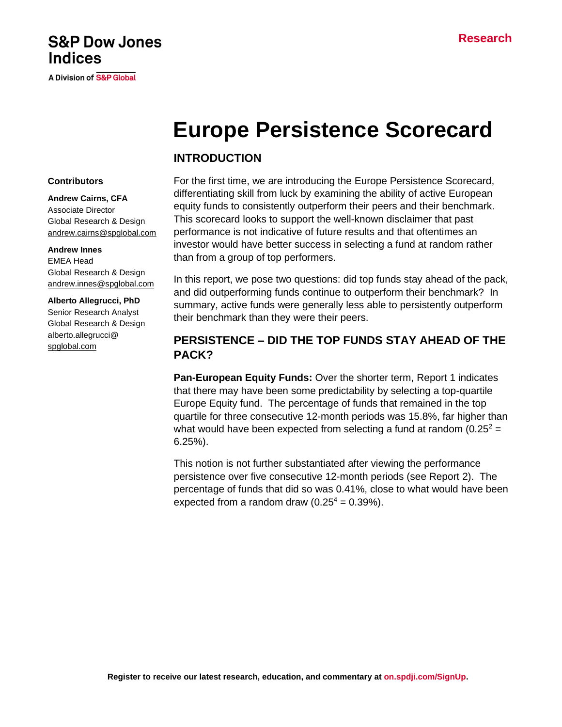## **S&P Dow Jones Indices**

**A Division of S&P Global** 

# **Europe Persistence Scorecard**

## **INTRODUCTION**

#### **Contributors**

**Andrew Cairns, CFA** Associate Director Global Research & Design [andrew.cairns@spglobal.com](mailto:andrew.cairns@spglobal.com)

#### **Andrew Innes**

EMEA Head Global Research & Design [andrew.innes@spglobal.com](mailto:andrew.innes@spglobal.com)

#### **Alberto Allegrucci, PhD**

Senior Research Analyst Global Research & Design [alberto.allegrucci@](mailto:alberto.allegrucci@spglobal.com) [spglobal.com](mailto:alberto.allegrucci@spglobal.com)

For the first time, we are introducing the Europe Persistence Scorecard, differentiating skill from luck by examining the ability of active European equity funds to consistently outperform their peers and their benchmark. This scorecard looks to support the well-known disclaimer that past performance is not indicative of future results and that oftentimes an investor would have better success in selecting a fund at random rather than from a group of top performers.

In this report, we pose two questions: did top funds stay ahead of the pack, and did outperforming funds continue to outperform their benchmark? In summary, active funds were generally less able to persistently outperform their benchmark than they were their peers.

## **PERSISTENCE – DID THE TOP FUNDS STAY AHEAD OF THE PACK?**

**Pan-European Equity Funds:** Over the shorter term, Report 1 indicates that there may have been some predictability by selecting a top-quartile Europe Equity fund. The percentage of funds that remained in the top quartile for three consecutive 12-month periods was 15.8%, far higher than what would have been expected from selecting a fund at random  $(0.25^2 =$ 6.25%).

This notion is not further substantiated after viewing the performance persistence over five consecutive 12-month periods (see Report 2). The percentage of funds that did so was 0.41%, close to what would have been expected from a random draw  $(0.25^4 = 0.39\%)$ .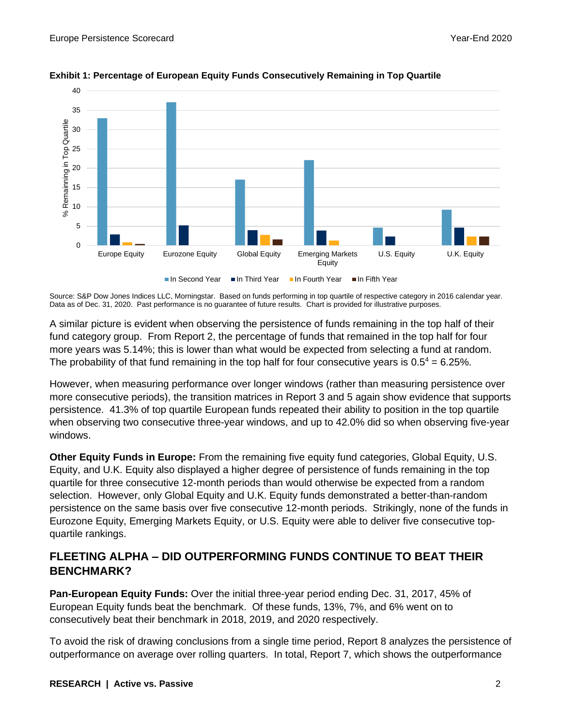

**Exhibit 1: Percentage of European Equity Funds Consecutively Remaining in Top Quartile**

Source: S&P Dow Jones Indices LLC, Morningstar. Based on funds performing in top quartile of respective category in 2016 calendar year. Data as of Dec. 31, 2020. Past performance is no guarantee of future results. Chart is provided for illustrative purposes.

A similar picture is evident when observing the persistence of funds remaining in the top half of their fund category group. From Report 2, the percentage of funds that remained in the top half for four more years was 5.14%; this is lower than what would be expected from selecting a fund at random. The probability of that fund remaining in the top half for four consecutive years is  $0.5<sup>4</sup> = 6.25$ %.

However, when measuring performance over longer windows (rather than measuring persistence over more consecutive periods), the transition matrices in Report 3 and 5 again show evidence that supports persistence. 41.3% of top quartile European funds repeated their ability to position in the top quartile when observing two consecutive three-year windows, and up to 42.0% did so when observing five-year windows.

**Other Equity Funds in Europe:** From the remaining five equity fund categories, Global Equity, U.S. Equity, and U.K. Equity also displayed a higher degree of persistence of funds remaining in the top quartile for three consecutive 12-month periods than would otherwise be expected from a random selection. However, only Global Equity and U.K. Equity funds demonstrated a better-than-random persistence on the same basis over five consecutive 12-month periods. Strikingly, none of the funds in Eurozone Equity, Emerging Markets Equity, or U.S. Equity were able to deliver five consecutive topquartile rankings.

## **FLEETING ALPHA – DID OUTPERFORMING FUNDS CONTINUE TO BEAT THEIR BENCHMARK?**

**Pan-European Equity Funds:** Over the initial three-year period ending Dec. 31, 2017, 45% of European Equity funds beat the benchmark. Of these funds, 13%, 7%, and 6% went on to consecutively beat their benchmark in 2018, 2019, and 2020 respectively.

To avoid the risk of drawing conclusions from a single time period, Report 8 analyzes the persistence of outperformance on average over rolling quarters. In total, Report 7, which shows the outperformance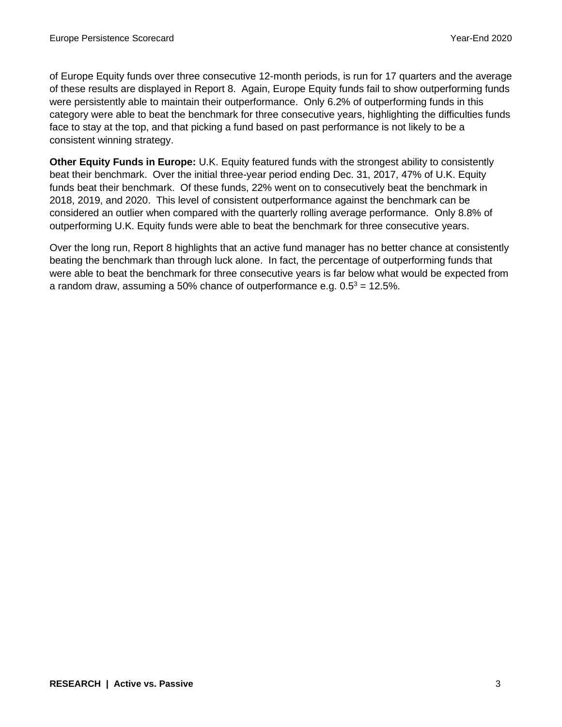of Europe Equity funds over three consecutive 12-month periods, is run for 17 quarters and the average of these results are displayed in Report 8. Again, Europe Equity funds fail to show outperforming funds were persistently able to maintain their outperformance. Only 6.2% of outperforming funds in this category were able to beat the benchmark for three consecutive years, highlighting the difficulties funds face to stay at the top, and that picking a fund based on past performance is not likely to be a consistent winning strategy.

**Other Equity Funds in Europe:** U.K. Equity featured funds with the strongest ability to consistently beat their benchmark. Over the initial three-year period ending Dec. 31, 2017, 47% of U.K. Equity funds beat their benchmark. Of these funds, 22% went on to consecutively beat the benchmark in 2018, 2019, and 2020. This level of consistent outperformance against the benchmark can be considered an outlier when compared with the quarterly rolling average performance. Only 8.8% of outperforming U.K. Equity funds were able to beat the benchmark for three consecutive years.

Over the long run, Report 8 highlights that an active fund manager has no better chance at consistently beating the benchmark than through luck alone. In fact, the percentage of outperforming funds that were able to beat the benchmark for three consecutive years is far below what would be expected from a random draw, assuming a 50% chance of outperformance e.g.  $0.5^3 = 12.5$ %.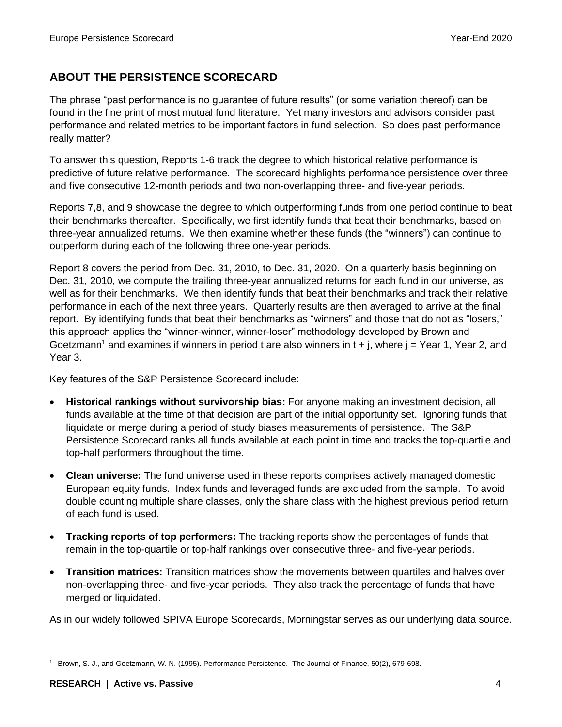## **ABOUT THE PERSISTENCE SCORECARD**

The phrase "past performance is no guarantee of future results" (or some variation thereof) can be found in the fine print of most mutual fund literature. Yet many investors and advisors consider past performance and related metrics to be important factors in fund selection. So does past performance really matter?

To answer this question, Reports 1-6 track the degree to which historical relative performance is predictive of future relative performance. The scorecard highlights performance persistence over three and five consecutive 12-month periods and two non-overlapping three- and five-year periods.

Reports 7,8, and 9 showcase the degree to which outperforming funds from one period continue to beat their benchmarks thereafter. Specifically, we first identify funds that beat their benchmarks, based on three-year annualized returns. We then examine whether these funds (the "winners") can continue to outperform during each of the following three one-year periods.

Report 8 covers the period from Dec. 31, 2010, to Dec. 31, 2020. On a quarterly basis beginning on Dec. 31, 2010, we compute the trailing three-year annualized returns for each fund in our universe, as well as for their benchmarks. We then identify funds that beat their benchmarks and track their relative performance in each of the next three years. Quarterly results are then averaged to arrive at the final report. By identifying funds that beat their benchmarks as "winners" and those that do not as "losers," this approach applies the "winner-winner, winner-loser" methodology developed by Brown and Goetzmann<sup>1</sup> and examines if winners in period t are also winners in  $t + j$ , where  $j = Y$ ear 1, Year 2, and Year 3.

Key features of the S&P Persistence Scorecard include:

- **Historical rankings without survivorship bias:** For anyone making an investment decision, all funds available at the time of that decision are part of the initial opportunity set. Ignoring funds that liquidate or merge during a period of study biases measurements of persistence. The S&P Persistence Scorecard ranks all funds available at each point in time and tracks the top-quartile and top-half performers throughout the time.
- **Clean universe:** The fund universe used in these reports comprises actively managed domestic European equity funds. Index funds and leveraged funds are excluded from the sample. To avoid double counting multiple share classes, only the share class with the highest previous period return of each fund is used.
- **Tracking reports of top performers:** The tracking reports show the percentages of funds that remain in the top-quartile or top-half rankings over consecutive three- and five-year periods.
- **Transition matrices:** Transition matrices show the movements between quartiles and halves over non-overlapping three- and five-year periods. They also track the percentage of funds that have merged or liquidated.

As in our widely followed SPIVA Europe Scorecards, Morningstar serves as our underlying data source.

<sup>1</sup> Brown, S. J., and Goetzmann, W. N. (1995). Performance Persistence. The Journal of Finance, 50(2), 679-698.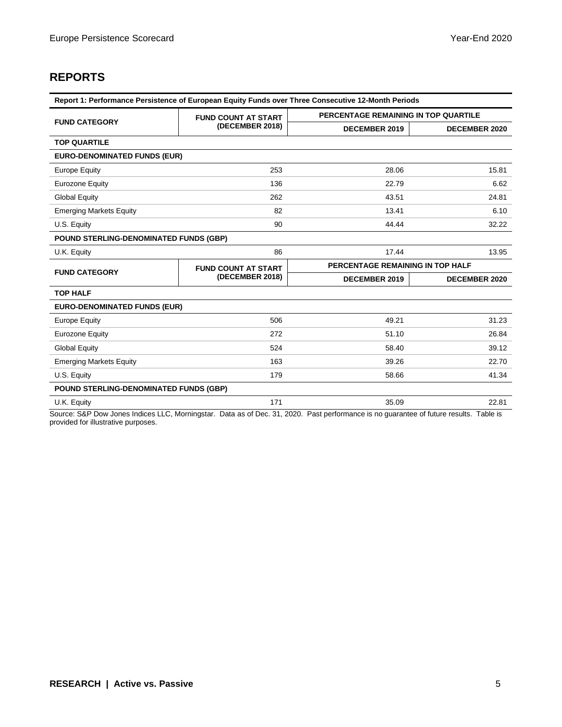## **REPORTS**

| Report 1: Performance Persistence of European Equity Funds over Three Consecutive 12-Month Periods |                            |                                      |                      |  |  |  |
|----------------------------------------------------------------------------------------------------|----------------------------|--------------------------------------|----------------------|--|--|--|
| <b>FUND CATEGORY</b>                                                                               | <b>FUND COUNT AT START</b> | PERCENTAGE REMAINING IN TOP QUARTILE |                      |  |  |  |
|                                                                                                    | (DECEMBER 2018)            | <b>DECEMBER 2019</b>                 | <b>DECEMBER 2020</b> |  |  |  |
| <b>TOP QUARTILE</b>                                                                                |                            |                                      |                      |  |  |  |
| <b>EURO-DENOMINATED FUNDS (EUR)</b>                                                                |                            |                                      |                      |  |  |  |
| <b>Europe Equity</b>                                                                               | 253                        | 28.06                                | 15.81                |  |  |  |
| <b>Eurozone Equity</b>                                                                             | 136                        | 22.79                                | 6.62                 |  |  |  |
| <b>Global Equity</b>                                                                               | 262                        | 43.51                                | 24.81                |  |  |  |
| <b>Emerging Markets Equity</b>                                                                     | 82                         | 13.41                                | 6.10                 |  |  |  |
| U.S. Equity                                                                                        | 90                         | 44.44                                | 32.22                |  |  |  |
| POUND STERLING-DENOMINATED FUNDS (GBP)                                                             |                            |                                      |                      |  |  |  |
| U.K. Equity                                                                                        | 86                         | 17.44                                | 13.95                |  |  |  |
| <b>FUND CATEGORY</b>                                                                               | <b>FUND COUNT AT START</b> | PERCENTAGE REMAINING IN TOP HALF     |                      |  |  |  |
|                                                                                                    | (DECEMBER 2018)            | <b>DECEMBER 2019</b>                 | <b>DECEMBER 2020</b> |  |  |  |
| <b>TOP HALF</b>                                                                                    |                            |                                      |                      |  |  |  |
| <b>EURO-DENOMINATED FUNDS (EUR)</b>                                                                |                            |                                      |                      |  |  |  |
| <b>Europe Equity</b>                                                                               | 506                        | 49.21                                | 31.23                |  |  |  |
| <b>Eurozone Equity</b>                                                                             | 272                        | 51.10                                | 26.84                |  |  |  |
| <b>Global Equity</b>                                                                               | 524                        | 58.40                                | 39.12                |  |  |  |
| <b>Emerging Markets Equity</b>                                                                     | 163                        | 39.26                                | 22.70                |  |  |  |
| U.S. Equity                                                                                        | 179                        | 58.66                                | 41.34                |  |  |  |
| POUND STERLING-DENOMINATED FUNDS (GBP)                                                             |                            |                                      |                      |  |  |  |
| U.K. Equity                                                                                        | 171                        | 35.09                                | 22.81                |  |  |  |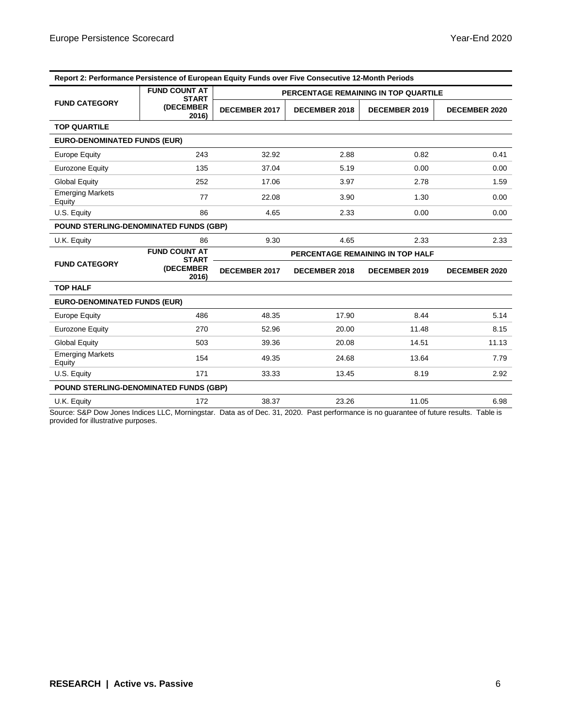| Report 2: Performance Persistence of European Equity Funds over Five Consecutive 12-Month Periods |                                      |                      |                      |                                      |                      |  |
|---------------------------------------------------------------------------------------------------|--------------------------------------|----------------------|----------------------|--------------------------------------|----------------------|--|
|                                                                                                   | <b>FUND COUNT AT</b><br><b>START</b> |                      |                      | PERCENTAGE REMAINING IN TOP QUARTILE |                      |  |
| <b>FUND CATEGORY</b>                                                                              | (DECEMBER<br>2016)                   | <b>DECEMBER 2017</b> | <b>DECEMBER 2018</b> | <b>DECEMBER 2019</b>                 | <b>DECEMBER 2020</b> |  |
| <b>TOP QUARTILE</b>                                                                               |                                      |                      |                      |                                      |                      |  |
| <b>EURO-DENOMINATED FUNDS (EUR)</b>                                                               |                                      |                      |                      |                                      |                      |  |
| <b>Europe Equity</b>                                                                              | 243                                  | 32.92                | 2.88                 | 0.82                                 | 0.41                 |  |
| <b>Eurozone Equity</b>                                                                            | 135                                  | 37.04                | 5.19                 | 0.00                                 | 0.00                 |  |
| <b>Global Equity</b>                                                                              | 252                                  | 17.06                | 3.97                 | 2.78                                 | 1.59                 |  |
| <b>Emerging Markets</b><br>Equity                                                                 | 77                                   | 22.08                | 3.90                 | 1.30                                 | 0.00                 |  |
| U.S. Equity                                                                                       | 86                                   | 4.65                 | 2.33                 | 0.00                                 | 0.00                 |  |
| POUND STERLING-DENOMINATED FUNDS (GBP)                                                            |                                      |                      |                      |                                      |                      |  |
| U.K. Equity                                                                                       | 86                                   | 9.30                 | 4.65                 | 2.33                                 | 2.33                 |  |
|                                                                                                   | <b>FUND COUNT AT</b><br><b>START</b> |                      |                      | PERCENTAGE REMAINING IN TOP HALF     |                      |  |
| <b>FUND CATEGORY</b>                                                                              | (DECEMBER<br>2016)                   | <b>DECEMBER 2017</b> | <b>DECEMBER 2018</b> | <b>DECEMBER 2019</b>                 | <b>DECEMBER 2020</b> |  |
| <b>TOP HALF</b>                                                                                   |                                      |                      |                      |                                      |                      |  |
| <b>EURO-DENOMINATED FUNDS (EUR)</b>                                                               |                                      |                      |                      |                                      |                      |  |
| <b>Europe Equity</b>                                                                              | 486                                  | 48.35                | 17.90                | 8.44                                 | 5.14                 |  |
| <b>Eurozone Equity</b>                                                                            | 270                                  | 52.96                | 20.00                | 11.48                                | 8.15                 |  |
| <b>Global Equity</b>                                                                              | 503                                  | 39.36                | 20.08                | 14.51                                | 11.13                |  |
| <b>Emerging Markets</b><br>Equity                                                                 | 154                                  | 49.35                | 24.68                | 13.64                                | 7.79                 |  |
| U.S. Equity                                                                                       | 171                                  | 33.33                | 13.45                | 8.19                                 | 2.92                 |  |
| POUND STERLING-DENOMINATED FUNDS (GBP)                                                            |                                      |                      |                      |                                      |                      |  |
| U.K. Equity                                                                                       | 172                                  | 38.37                | 23.26                | 11.05                                | 6.98                 |  |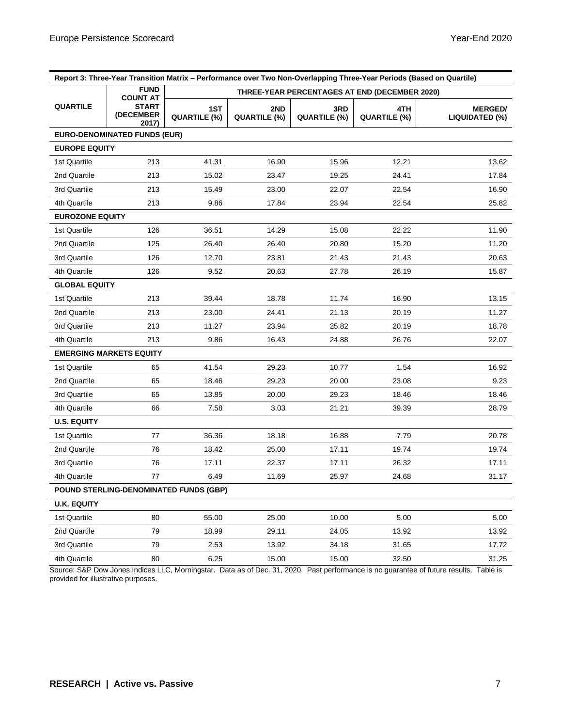| Report 3: Three-Year Transition Matrix - Performance over Two Non-Overlapping Three-Year Periods (Based on Quartile) |                                     |                                               |                     |                     |                     |                                  |  |
|----------------------------------------------------------------------------------------------------------------------|-------------------------------------|-----------------------------------------------|---------------------|---------------------|---------------------|----------------------------------|--|
|                                                                                                                      | <b>FUND</b><br><b>COUNT AT</b>      | THREE-YEAR PERCENTAGES AT END (DECEMBER 2020) |                     |                     |                     |                                  |  |
| <b>QUARTILE</b>                                                                                                      | <b>START</b><br>(DECEMBER<br>2017)  | 1ST<br>QUARTILE (%)                           | 2ND<br>QUARTILE (%) | 3RD<br>QUARTILE (%) | 4TH<br>QUARTILE (%) | <b>MERGED/</b><br>LIQUIDATED (%) |  |
|                                                                                                                      | <b>EURO-DENOMINATED FUNDS (EUR)</b> |                                               |                     |                     |                     |                                  |  |
| <b>EUROPE EQUITY</b>                                                                                                 |                                     |                                               |                     |                     |                     |                                  |  |
| 1st Quartile                                                                                                         | 213                                 | 41.31                                         | 16.90               | 15.96               | 12.21               | 13.62                            |  |
| 2nd Quartile                                                                                                         | 213                                 | 15.02                                         | 23.47               | 19.25               | 24.41               | 17.84                            |  |
| 3rd Quartile                                                                                                         | 213                                 | 15.49                                         | 23.00               | 22.07               | 22.54               | 16.90                            |  |
| 4th Quartile                                                                                                         | 213                                 | 9.86                                          | 17.84               | 23.94               | 22.54               | 25.82                            |  |
| <b>EUROZONE EQUITY</b>                                                                                               |                                     |                                               |                     |                     |                     |                                  |  |
| 1st Quartile                                                                                                         | 126                                 | 36.51                                         | 14.29               | 15.08               | 22.22               | 11.90                            |  |
| 2nd Quartile                                                                                                         | 125                                 | 26.40                                         | 26.40               | 20.80               | 15.20               | 11.20                            |  |
| 3rd Quartile                                                                                                         | 126                                 | 12.70                                         | 23.81               | 21.43               | 21.43               | 20.63                            |  |
| 4th Quartile                                                                                                         | 126                                 | 9.52                                          | 20.63               | 27.78               | 26.19               | 15.87                            |  |
| <b>GLOBAL EQUITY</b>                                                                                                 |                                     |                                               |                     |                     |                     |                                  |  |
| 1st Quartile                                                                                                         | 213                                 | 39.44                                         | 18.78               | 11.74               | 16.90               | 13.15                            |  |
| 2nd Quartile                                                                                                         | 213                                 | 23.00                                         | 24.41               | 21.13               | 20.19               | 11.27                            |  |
| 3rd Quartile                                                                                                         | 213                                 | 11.27                                         | 23.94               | 25.82               | 20.19               | 18.78                            |  |
| 4th Quartile                                                                                                         | 213                                 | 9.86                                          | 16.43               | 24.88               | 26.76               | 22.07                            |  |
|                                                                                                                      | <b>EMERGING MARKETS EQUITY</b>      |                                               |                     |                     |                     |                                  |  |
| 1st Quartile                                                                                                         | 65                                  | 41.54                                         | 29.23               | 10.77               | 1.54                | 16.92                            |  |
| 2nd Quartile                                                                                                         | 65                                  | 18.46                                         | 29.23               | 20.00               | 23.08               | 9.23                             |  |
| 3rd Quartile                                                                                                         | 65                                  | 13.85                                         | 20.00               | 29.23               | 18.46               | 18.46                            |  |
| 4th Quartile                                                                                                         | 66                                  | 7.58                                          | 3.03                | 21.21               | 39.39               | 28.79                            |  |
| <b>U.S. EQUITY</b>                                                                                                   |                                     |                                               |                     |                     |                     |                                  |  |
| 1st Quartile                                                                                                         | 77                                  | 36.36                                         | 18.18               | 16.88               | 7.79                | 20.78                            |  |
| 2nd Quartile                                                                                                         | 76                                  | 18.42                                         | 25.00               | 17.11               | 19.74               | 19.74                            |  |
| 3rd Quartile                                                                                                         | 76                                  | 17.11                                         | 22.37               | 17.11               | 26.32               | 17.11                            |  |
| 4th Quartile                                                                                                         | 77                                  | 6.49                                          | 11.69               | 25.97               | 24.68               | 31.17                            |  |
|                                                                                                                      |                                     | POUND STERLING-DENOMINATED FUNDS (GBP)        |                     |                     |                     |                                  |  |
| <b>U.K. EQUITY</b>                                                                                                   |                                     |                                               |                     |                     |                     |                                  |  |
| 1st Quartile                                                                                                         | 80                                  | 55.00                                         | 25.00               | 10.00               | 5.00                | 5.00                             |  |
| 2nd Quartile                                                                                                         | 79                                  | 18.99                                         | 29.11               | 24.05               | 13.92               | 13.92                            |  |
| 3rd Quartile                                                                                                         | 79                                  | 2.53                                          | 13.92               | 34.18               | 31.65               | 17.72                            |  |
| 4th Quartile                                                                                                         | 80                                  | 6.25                                          | 15.00               | 15.00               | 32.50               | 31.25                            |  |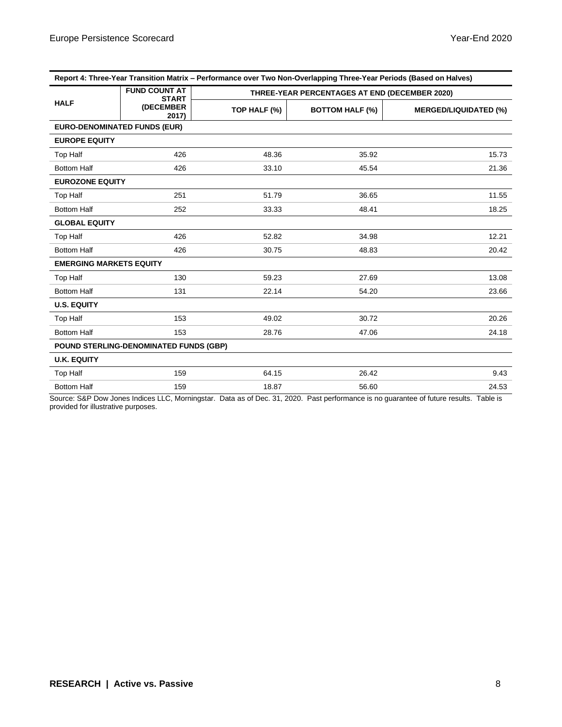| Report 4: Three-Year Transition Matrix - Performance over Two Non-Overlapping Three-Year Periods (Based on Halves) |                                        |              |                                               |                              |  |  |
|--------------------------------------------------------------------------------------------------------------------|----------------------------------------|--------------|-----------------------------------------------|------------------------------|--|--|
|                                                                                                                    | <b>FUND COUNT AT</b><br><b>START</b>   |              | THREE-YEAR PERCENTAGES AT END (DECEMBER 2020) |                              |  |  |
| <b>HALF</b>                                                                                                        | (DECEMBER<br>2017)                     | TOP HALF (%) | <b>BOTTOM HALF (%)</b>                        | <b>MERGED/LIQUIDATED (%)</b> |  |  |
| <b>EURO-DENOMINATED FUNDS (EUR)</b>                                                                                |                                        |              |                                               |                              |  |  |
| <b>EUROPE EQUITY</b>                                                                                               |                                        |              |                                               |                              |  |  |
| Top Half                                                                                                           | 426                                    | 48.36        | 35.92                                         | 15.73                        |  |  |
| <b>Bottom Half</b>                                                                                                 | 426                                    | 33.10        | 45.54                                         | 21.36                        |  |  |
| <b>EUROZONE EQUITY</b>                                                                                             |                                        |              |                                               |                              |  |  |
| <b>Top Half</b>                                                                                                    | 251                                    | 51.79        | 36.65                                         | 11.55                        |  |  |
| <b>Bottom Half</b>                                                                                                 | 252                                    | 33.33        | 48.41                                         | 18.25                        |  |  |
| <b>GLOBAL EQUITY</b>                                                                                               |                                        |              |                                               |                              |  |  |
| <b>Top Half</b>                                                                                                    | 426                                    | 52.82        | 34.98                                         | 12.21                        |  |  |
| <b>Bottom Half</b>                                                                                                 | 426                                    | 30.75        | 48.83                                         | 20.42                        |  |  |
| <b>EMERGING MARKETS EQUITY</b>                                                                                     |                                        |              |                                               |                              |  |  |
| <b>Top Half</b>                                                                                                    | 130                                    | 59.23        | 27.69                                         | 13.08                        |  |  |
| <b>Bottom Half</b>                                                                                                 | 131                                    | 22.14        | 54.20                                         | 23.66                        |  |  |
| <b>U.S. EQUITY</b>                                                                                                 |                                        |              |                                               |                              |  |  |
| <b>Top Half</b>                                                                                                    | 153                                    | 49.02        | 30.72                                         | 20.26                        |  |  |
| <b>Bottom Half</b>                                                                                                 | 153                                    | 28.76        | 47.06                                         | 24.18                        |  |  |
|                                                                                                                    | POUND STERLING-DENOMINATED FUNDS (GBP) |              |                                               |                              |  |  |
| <b>U.K. EQUITY</b>                                                                                                 |                                        |              |                                               |                              |  |  |
| <b>Top Half</b>                                                                                                    | 159                                    | 64.15        | 26.42                                         | 9.43                         |  |  |
| <b>Bottom Half</b>                                                                                                 | 159                                    | 18.87        | 56.60                                         | 24.53                        |  |  |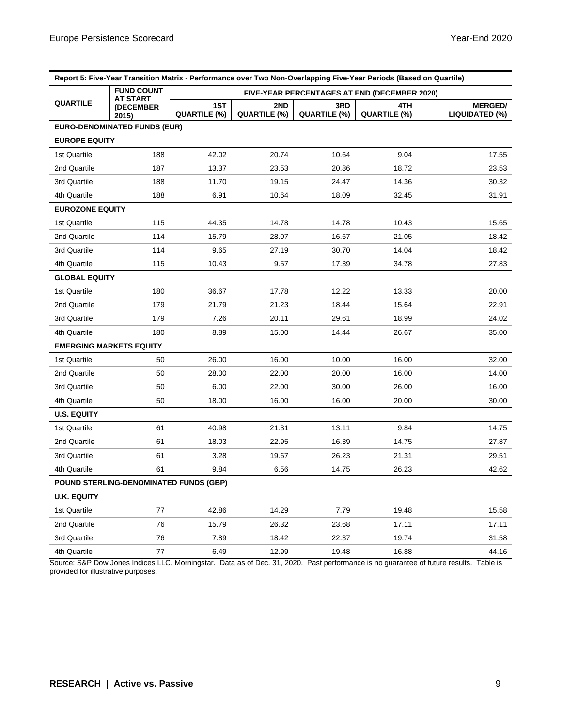| Report 5: Five-Year Transition Matrix - Performance over Two Non-Overlapping Five-Year Periods (Based on Quartile) |                                        |                                                                 |                     |                                       |                                              |                                  |
|--------------------------------------------------------------------------------------------------------------------|----------------------------------------|-----------------------------------------------------------------|---------------------|---------------------------------------|----------------------------------------------|----------------------------------|
|                                                                                                                    | <b>FUND COUNT</b><br><b>AT START</b>   |                                                                 |                     |                                       | FIVE-YEAR PERCENTAGES AT END (DECEMBER 2020) |                                  |
| <b>QUARTILE</b>                                                                                                    | (DECEMBER<br>2015)                     | 1ST<br>QUARTILE (%)                                             | 2ND<br>QUARTILE (%) | 3RD<br>QUARTILE (%)                   | 4TH<br>QUARTILE (%)                          | <b>MERGED/</b><br>LIQUIDATED (%) |
|                                                                                                                    | <b>EURO-DENOMINATED FUNDS (EUR)</b>    |                                                                 |                     |                                       |                                              |                                  |
| <b>EUROPE EQUITY</b>                                                                                               |                                        |                                                                 |                     |                                       |                                              |                                  |
| 1st Quartile                                                                                                       | 188                                    | 42.02                                                           | 20.74               | 10.64                                 | 9.04                                         | 17.55                            |
| 2nd Quartile                                                                                                       | 187                                    | 13.37                                                           | 23.53               | 20.86                                 | 18.72                                        | 23.53                            |
| 3rd Quartile                                                                                                       | 188                                    | 11.70                                                           | 19.15               | 24.47                                 | 14.36                                        | 30.32                            |
| 4th Quartile                                                                                                       | 188                                    | 6.91                                                            | 10.64               | 18.09                                 | 32.45                                        | 31.91                            |
| <b>EUROZONE EQUITY</b>                                                                                             |                                        |                                                                 |                     |                                       |                                              |                                  |
| 1st Quartile                                                                                                       | 115                                    | 44.35                                                           | 14.78               | 14.78                                 | 10.43                                        | 15.65                            |
| 2nd Quartile                                                                                                       | 114                                    | 15.79                                                           | 28.07               | 16.67                                 | 21.05                                        | 18.42                            |
| 3rd Quartile                                                                                                       | 114                                    | 9.65                                                            | 27.19               | 30.70                                 | 14.04                                        | 18.42                            |
| 4th Quartile                                                                                                       | 115                                    | 10.43                                                           | 9.57                | 17.39                                 | 34.78                                        | 27.83                            |
| <b>GLOBAL EQUITY</b>                                                                                               |                                        |                                                                 |                     |                                       |                                              |                                  |
| 1st Quartile                                                                                                       | 180                                    | 36.67                                                           | 17.78               | 12.22                                 | 13.33                                        | 20.00                            |
| 2nd Quartile                                                                                                       | 179                                    | 21.79                                                           | 21.23               | 18.44                                 | 15.64                                        | 22.91                            |
| 3rd Quartile                                                                                                       | 179                                    | 7.26                                                            | 20.11               | 29.61                                 | 18.99                                        | 24.02                            |
| 4th Quartile                                                                                                       | 180                                    | 8.89                                                            | 15.00               | 14.44                                 | 26.67                                        | 35.00                            |
| <b>EMERGING MARKETS EQUITY</b>                                                                                     |                                        |                                                                 |                     |                                       |                                              |                                  |
| 1st Quartile                                                                                                       | 50                                     | 26.00                                                           | 16.00               | 10.00                                 | 16.00                                        | 32.00                            |
| 2nd Quartile                                                                                                       | 50                                     | 28.00                                                           | 22.00               | 20.00                                 | 16.00                                        | 14.00                            |
| 3rd Quartile                                                                                                       | 50                                     | 6.00                                                            | 22.00               | 30.00                                 | 26.00                                        | 16.00                            |
| 4th Quartile                                                                                                       | 50                                     | 18.00                                                           | 16.00               | 16.00                                 | 20.00                                        | 30.00                            |
| <b>U.S. EQUITY</b>                                                                                                 |                                        |                                                                 |                     |                                       |                                              |                                  |
| 1st Quartile                                                                                                       | 61                                     | 40.98                                                           | 21.31               | 13.11                                 | 9.84                                         | 14.75                            |
| 2nd Quartile                                                                                                       | 61                                     | 18.03                                                           | 22.95               | 16.39                                 | 14.75                                        | 27.87                            |
| 3rd Quartile                                                                                                       | 61                                     | 3.28                                                            | 19.67               | 26.23                                 | 21.31                                        | 29.51                            |
| 4th Quartile                                                                                                       | 61                                     | 9.84                                                            | 6.56                | 14.75                                 | 26.23                                        | 42.62                            |
|                                                                                                                    | POUND STERLING-DENOMINATED FUNDS (GBP) |                                                                 |                     |                                       |                                              |                                  |
| <b>U.K. EQUITY</b>                                                                                                 |                                        |                                                                 |                     |                                       |                                              |                                  |
| 1st Quartile                                                                                                       | 77                                     | 42.86                                                           | 14.29               | 7.79                                  | 19.48                                        | 15.58                            |
| 2nd Quartile                                                                                                       | 76                                     | 15.79                                                           | 26.32               | 23.68                                 | 17.11                                        | 17.11                            |
| 3rd Quartile                                                                                                       | 76                                     | 7.89                                                            | 18.42               | 22.37                                 | 19.74                                        | 31.58                            |
| 4th Quartile<br>Course COD Dow                                                                                     | 77                                     | 6.49<br>Jones Indices LLC, Merringster, Deta as of Dee 21, 2020 | 12.99               | 19.48<br>$D_{\text{out}}$ noticempone | 16.88<br>$\alpha$ uorontoo                   | 44.16<br>Toble in                |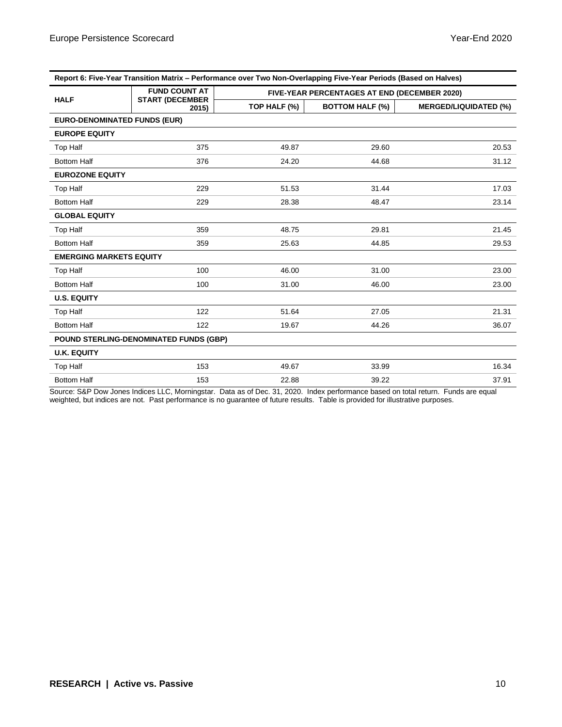| Report 6: Five-Year Transition Matrix – Performance over Two Non-Overlapping Five-Year Periods (Based on Halves) |                                |                                              |                        |                              |  |  |
|------------------------------------------------------------------------------------------------------------------|--------------------------------|----------------------------------------------|------------------------|------------------------------|--|--|
|                                                                                                                  | <b>FUND COUNT AT</b>           | FIVE-YEAR PERCENTAGES AT END (DECEMBER 2020) |                        |                              |  |  |
| <b>HALF</b>                                                                                                      | <b>START (DECEMBER</b><br>2015 | TOP HALF (%)                                 | <b>BOTTOM HALF (%)</b> | <b>MERGED/LIQUIDATED (%)</b> |  |  |
| <b>EURO-DENOMINATED FUNDS (EUR)</b>                                                                              |                                |                                              |                        |                              |  |  |
| <b>EUROPE EQUITY</b>                                                                                             |                                |                                              |                        |                              |  |  |
| <b>Top Half</b>                                                                                                  | 375                            | 49.87                                        | 29.60                  | 20.53                        |  |  |
| <b>Bottom Half</b>                                                                                               | 376                            | 24.20                                        | 44.68                  | 31.12                        |  |  |
| <b>EUROZONE EQUITY</b>                                                                                           |                                |                                              |                        |                              |  |  |
| <b>Top Half</b>                                                                                                  | 229                            | 51.53                                        | 31.44                  | 17.03                        |  |  |
| <b>Bottom Half</b>                                                                                               | 229                            | 28.38                                        | 48.47                  | 23.14                        |  |  |
| <b>GLOBAL EQUITY</b>                                                                                             |                                |                                              |                        |                              |  |  |
| Top Half                                                                                                         | 359                            | 48.75                                        | 29.81                  | 21.45                        |  |  |
| <b>Bottom Half</b>                                                                                               | 359                            | 25.63                                        | 44.85                  | 29.53                        |  |  |
| <b>EMERGING MARKETS EQUITY</b>                                                                                   |                                |                                              |                        |                              |  |  |
| <b>Top Half</b>                                                                                                  | 100                            | 46.00                                        | 31.00                  | 23.00                        |  |  |
| <b>Bottom Half</b>                                                                                               | 100                            | 31.00                                        | 46.00                  | 23.00                        |  |  |
| <b>U.S. EQUITY</b>                                                                                               |                                |                                              |                        |                              |  |  |
| <b>Top Half</b>                                                                                                  | 122                            | 51.64                                        | 27.05                  | 21.31                        |  |  |
| <b>Bottom Half</b>                                                                                               | 122                            | 19.67                                        | 44.26                  | 36.07                        |  |  |
| <b>POUND STERLING-DENOMINATED FUNDS (GBP)</b>                                                                    |                                |                                              |                        |                              |  |  |
| <b>U.K. EQUITY</b>                                                                                               |                                |                                              |                        |                              |  |  |
| <b>Top Half</b>                                                                                                  | 153                            | 49.67                                        | 33.99                  | 16.34                        |  |  |
| <b>Bottom Half</b>                                                                                               | 153                            | 22.88                                        | 39.22                  | 37.91                        |  |  |

Source: S&P Dow Jones Indices LLC, Morningstar. Data as of Dec. 31, 2020. Index performance based on total return. Funds are equal weighted, but indices are not. Past performance is no guarantee of future results. Table is provided for illustrative purposes.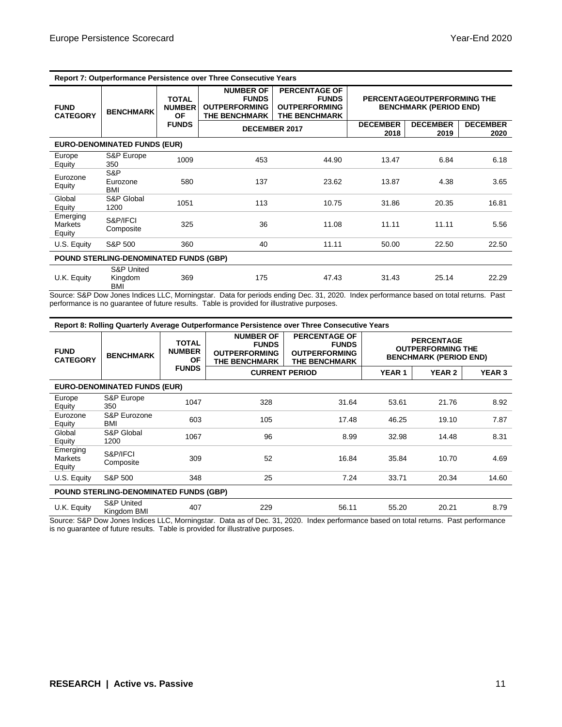| Report 7: Outperformance Persistence over Three Consecutive Years |                                         |                                                            |                                                                                  |                                                                                      |                                                              |                         |                         |
|-------------------------------------------------------------------|-----------------------------------------|------------------------------------------------------------|----------------------------------------------------------------------------------|--------------------------------------------------------------------------------------|--------------------------------------------------------------|-------------------------|-------------------------|
| <b>FUND</b><br><b>CATEGORY</b>                                    | <b>BENCHMARK</b>                        | <b>TOTAL</b><br><b>NUMBER</b><br><b>OF</b><br><b>FUNDS</b> | <b>NUMBER OF</b><br><b>FUNDS</b><br><b>OUTPERFORMING</b><br><b>THE BENCHMARK</b> | <b>PERCENTAGE OF</b><br><b>FUNDS</b><br><b>OUTPERFORMING</b><br><b>THE BENCHMARK</b> | PERCENTAGEOUTPERFORMING THE<br><b>BENCHMARK (PERIOD END)</b> |                         |                         |
|                                                                   |                                         |                                                            | <b>DECEMBER 2017</b>                                                             |                                                                                      | <b>DECEMBER</b><br>2018                                      | <b>DECEMBER</b><br>2019 | <b>DECEMBER</b><br>2020 |
|                                                                   | <b>EURO-DENOMINATED FUNDS (EUR)</b>     |                                                            |                                                                                  |                                                                                      |                                                              |                         |                         |
| Europe<br>Equity                                                  | S&P Europe<br>350                       | 1009                                                       | 453                                                                              | 44.90                                                                                | 13.47                                                        | 6.84                    | 6.18                    |
| Eurozone<br>Equity                                                | S&P<br>Eurozone<br>BMI                  | 580                                                        | 137                                                                              | 23.62                                                                                | 13.87                                                        | 4.38                    | 3.65                    |
| Global<br>Equity                                                  | S&P Global<br>1200                      | 1051                                                       | 113                                                                              | 10.75                                                                                | 31.86                                                        | 20.35                   | 16.81                   |
| Emerging<br><b>Markets</b><br>Equity                              | S&P/IFCI<br>Composite                   | 325                                                        | 36                                                                               | 11.08                                                                                | 11.11                                                        | 11.11                   | 5.56                    |
| U.S. Equity                                                       | S&P 500                                 | 360                                                        | 40                                                                               | 11.11                                                                                | 50.00                                                        | 22.50                   | 22.50                   |
| POUND STERLING-DENOMINATED FUNDS (GBP)                            |                                         |                                                            |                                                                                  |                                                                                      |                                                              |                         |                         |
| U.K. Equity                                                       | <b>S&amp;P United</b><br>Kingdom<br>BMI | 369                                                        | 175                                                                              | 47.43                                                                                | 31.43                                                        | 25.14                   | 22.29                   |

Source: S&P Dow Jones Indices LLC, Morningstar. Data for periods ending Dec. 31, 2020. Index performance based on total returns. Past performance is no guarantee of future results. Table is provided for illustrative purposes.

| Report 8: Rolling Quarterly Average Outperformance Persistence over Three Consecutive Years |                                      |                                            |                                                                                  |                                                                                      |                                                                                |               |               |
|---------------------------------------------------------------------------------------------|--------------------------------------|--------------------------------------------|----------------------------------------------------------------------------------|--------------------------------------------------------------------------------------|--------------------------------------------------------------------------------|---------------|---------------|
| <b>FUND</b><br><b>CATEGORY</b>                                                              | <b>BENCHMARK</b>                     | <b>TOTAL</b><br><b>NUMBER</b><br><b>OF</b> | <b>NUMBER OF</b><br><b>FUNDS</b><br><b>OUTPERFORMING</b><br><b>THE BENCHMARK</b> | <b>PERCENTAGE OF</b><br><b>FUNDS</b><br><b>OUTPERFORMING</b><br><b>THE BENCHMARK</b> | <b>PERCENTAGE</b><br><b>OUTPERFORMING THE</b><br><b>BENCHMARK (PERIOD END)</b> |               |               |
|                                                                                             |                                      | <b>FUNDS</b>                               | <b>CURRENT PERIOD</b>                                                            |                                                                                      | <b>YEAR1</b>                                                                   | <b>YEAR 2</b> | <b>YEAR 3</b> |
|                                                                                             | <b>EURO-DENOMINATED FUNDS (EUR)</b>  |                                            |                                                                                  |                                                                                      |                                                                                |               |               |
| Europe<br>Equity                                                                            | S&P Europe<br>350                    | 1047                                       | 328                                                                              | 31.64                                                                                | 53.61                                                                          | 21.76         | 8.92          |
| Eurozone<br>Equity                                                                          | S&P Eurozone<br>BMI                  | 603                                        | 105                                                                              | 17.48                                                                                | 46.25                                                                          | 19.10         | 7.87          |
| Global<br>Equity                                                                            | S&P Global<br>1200                   | 1067                                       | 96                                                                               | 8.99                                                                                 | 32.98                                                                          | 14.48         | 8.31          |
| Emerging<br><b>Markets</b><br>Equity                                                        | S&P/IFCI<br>Composite                | 309                                        | 52                                                                               | 16.84                                                                                | 35.84                                                                          | 10.70         | 4.69          |
| U.S. Equity                                                                                 | S&P 500                              | 348                                        | 25                                                                               | 7.24                                                                                 | 33.71                                                                          | 20.34         | 14.60         |
| <b>POUND STERLING-DENOMINATED FUNDS (GBP)</b>                                               |                                      |                                            |                                                                                  |                                                                                      |                                                                                |               |               |
| U.K. Equity                                                                                 | <b>S&amp;P United</b><br>Kingdom BMI | 407                                        | 229                                                                              | 56.11                                                                                | 55.20                                                                          | 20.21         | 8.79          |

Source: S&P Dow Jones Indices LLC, Morningstar. Data as of Dec. 31, 2020. Index performance based on total returns. Past performance is no guarantee of future results. Table is provided for illustrative purposes.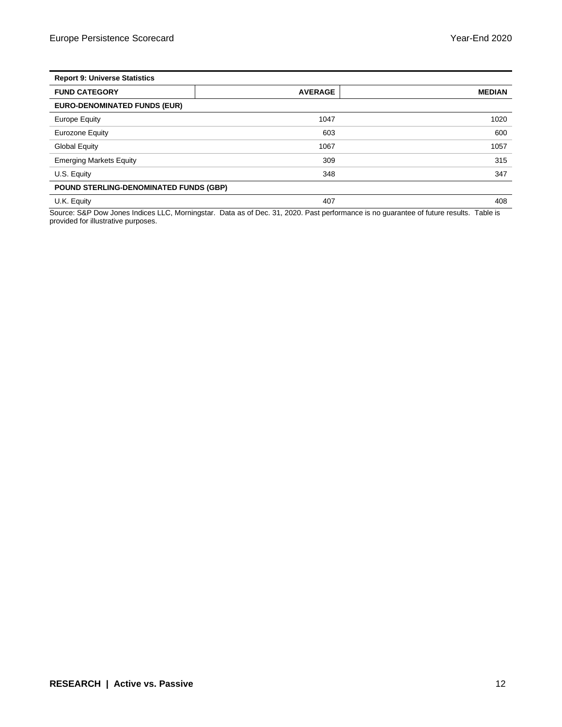| <b>Report 9: Universe Statistics</b>   |                |               |  |  |  |
|----------------------------------------|----------------|---------------|--|--|--|
| <b>FUND CATEGORY</b>                   | <b>AVERAGE</b> | <b>MEDIAN</b> |  |  |  |
| <b>EURO-DENOMINATED FUNDS (EUR)</b>    |                |               |  |  |  |
| Europe Equity                          | 1047           | 1020          |  |  |  |
| Eurozone Equity                        | 603            | 600           |  |  |  |
| <b>Global Equity</b>                   | 1067           | 1057          |  |  |  |
| <b>Emerging Markets Equity</b>         | 309            | 315           |  |  |  |
| U.S. Equity                            | 348            | 347           |  |  |  |
| POUND STERLING-DENOMINATED FUNDS (GBP) |                |               |  |  |  |
| U.K. Equity                            | 407            | 408           |  |  |  |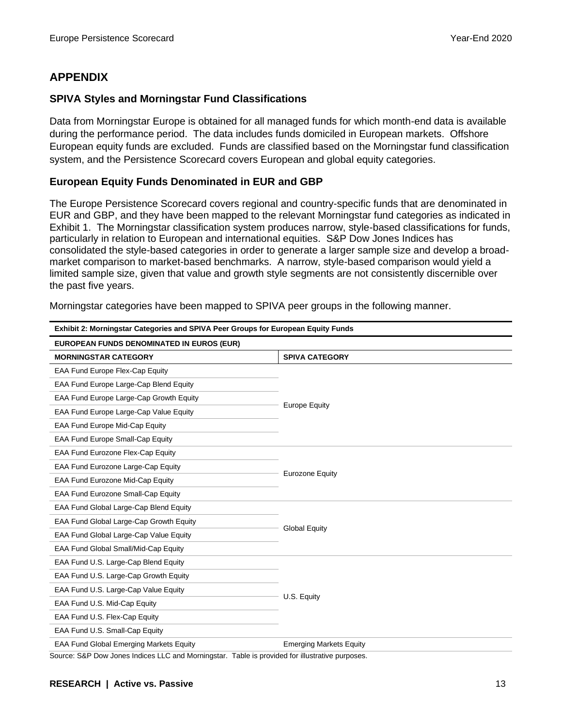#### **APPENDIX**

#### **SPIVA Styles and Morningstar Fund Classifications**

Data from Morningstar Europe is obtained for all managed funds for which month-end data is available during the performance period. The data includes funds domiciled in European markets. Offshore European equity funds are excluded. Funds are classified based on the Morningstar fund classification system, and the Persistence Scorecard covers European and global equity categories.

#### **European Equity Funds Denominated in EUR and GBP**

The Europe Persistence Scorecard covers regional and country-specific funds that are denominated in EUR and GBP, and they have been mapped to the relevant Morningstar fund categories as indicated in Exhibit 1. The Morningstar classification system produces narrow, style-based classifications for funds, particularly in relation to European and international equities. S&P Dow Jones Indices has consolidated the style-based categories in order to generate a larger sample size and develop a broadmarket comparison to market-based benchmarks. A narrow, style-based comparison would yield a limited sample size, given that value and growth style segments are not consistently discernible over the past five years.

| Exhibit 2: Morningstar Categories and SPIVA Peer Groups for European Equity Funds |                                |  |  |  |  |
|-----------------------------------------------------------------------------------|--------------------------------|--|--|--|--|
| EUROPEAN FUNDS DENOMINATED IN EUROS (EUR)                                         |                                |  |  |  |  |
| <b>MORNINGSTAR CATEGORY</b>                                                       | <b>SPIVA CATEGORY</b>          |  |  |  |  |
| EAA Fund Europe Flex-Cap Equity                                                   |                                |  |  |  |  |
| EAA Fund Europe Large-Cap Blend Equity                                            |                                |  |  |  |  |
| EAA Fund Europe Large-Cap Growth Equity                                           | <b>Europe Equity</b>           |  |  |  |  |
| EAA Fund Europe Large-Cap Value Equity                                            |                                |  |  |  |  |
| EAA Fund Europe Mid-Cap Equity                                                    |                                |  |  |  |  |
| EAA Fund Europe Small-Cap Equity                                                  |                                |  |  |  |  |
| EAA Fund Eurozone Flex-Cap Equity                                                 |                                |  |  |  |  |
| EAA Fund Eurozone Large-Cap Equity                                                |                                |  |  |  |  |
| EAA Fund Eurozone Mid-Cap Equity                                                  | <b>Eurozone Equity</b>         |  |  |  |  |
| EAA Fund Eurozone Small-Cap Equity                                                |                                |  |  |  |  |
| EAA Fund Global Large-Cap Blend Equity                                            |                                |  |  |  |  |
| EAA Fund Global Large-Cap Growth Equity                                           | <b>Global Equity</b>           |  |  |  |  |
| EAA Fund Global Large-Cap Value Equity                                            |                                |  |  |  |  |
| EAA Fund Global Small/Mid-Cap Equity                                              |                                |  |  |  |  |
| EAA Fund U.S. Large-Cap Blend Equity                                              |                                |  |  |  |  |
| EAA Fund U.S. Large-Cap Growth Equity                                             |                                |  |  |  |  |
| EAA Fund U.S. Large-Cap Value Equity                                              | U.S. Equity                    |  |  |  |  |
| EAA Fund U.S. Mid-Cap Equity                                                      |                                |  |  |  |  |
| EAA Fund U.S. Flex-Cap Equity                                                     |                                |  |  |  |  |
| EAA Fund U.S. Small-Cap Equity                                                    |                                |  |  |  |  |
| <b>EAA Fund Global Emerging Markets Equity</b>                                    | <b>Emerging Markets Equity</b> |  |  |  |  |

Morningstar categories have been mapped to SPIVA peer groups in the following manner.

Source: S&P Dow Jones Indices LLC and Morningstar. Table is provided for illustrative purposes.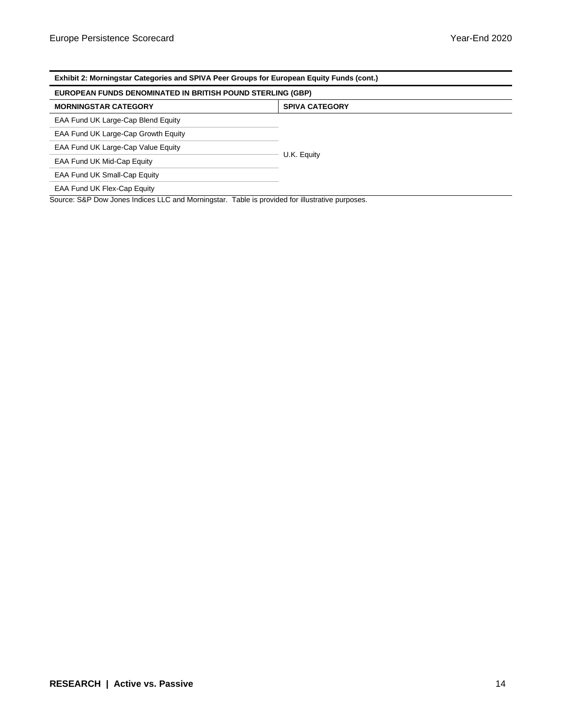| Exhibit 2: Morningstar Categories and SPIVA Peer Groups for European Equity Funds (cont.)       |  |  |  |  |  |
|-------------------------------------------------------------------------------------------------|--|--|--|--|--|
| <b>EUROPEAN FUNDS DENOMINATED IN BRITISH POUND STERLING (GBP)</b>                               |  |  |  |  |  |
| <b>MORNINGSTAR CATEGORY</b><br><b>SPIVA CATEGORY</b>                                            |  |  |  |  |  |
| EAA Fund UK Large-Cap Blend Equity                                                              |  |  |  |  |  |
| EAA Fund UK Large-Cap Growth Equity                                                             |  |  |  |  |  |
| EAA Fund UK Large-Cap Value Equity                                                              |  |  |  |  |  |
| U.K. Equity<br>EAA Fund UK Mid-Cap Equity                                                       |  |  |  |  |  |
| EAA Fund UK Small-Cap Equity                                                                    |  |  |  |  |  |
| EAA Fund UK Flex-Cap Equity                                                                     |  |  |  |  |  |
| Source: S&P Dow Jones Indices LLC and Morningstar. Table is provided for illustrative purposes. |  |  |  |  |  |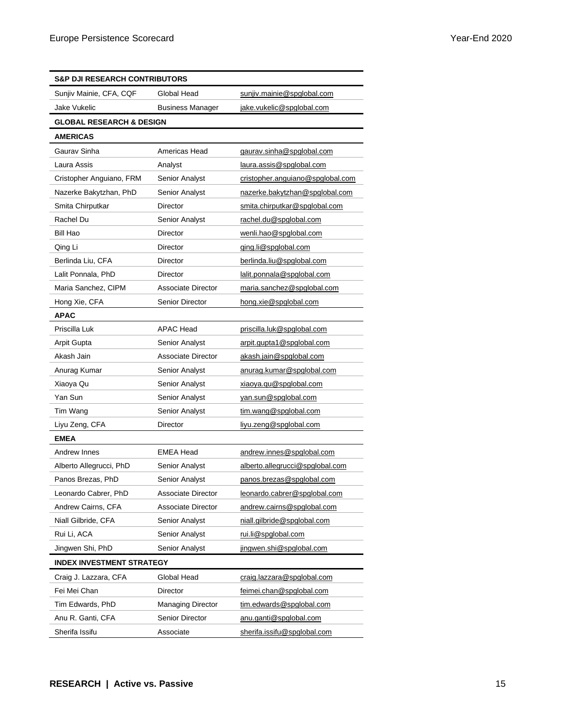| <b>S&amp;P DJI RESEARCH CONTRIBUTORS</b> |                           |                                  |
|------------------------------------------|---------------------------|----------------------------------|
| Sunjiv Mainie, CFA, CQF                  | Global Head               | sunjiv.mainie@spglobal.com       |
| Jake Vukelic                             | <b>Business Manager</b>   | jake.vukelic@spglobal.com        |
| <b>GLOBAL RESEARCH &amp; DESIGN</b>      |                           |                                  |
| <b>AMERICAS</b>                          |                           |                                  |
| Gaurav Sinha                             | Americas Head             | gaurav.sinha@spglobal.com        |
| Laura Assis                              | Analyst                   | laura.assis@spglobal.com         |
| Cristopher Anguiano, FRM                 | Senior Analyst            | cristopher.anguiano@spglobal.com |
| Nazerke Bakytzhan, PhD                   | <b>Senior Analyst</b>     | nazerke.bakytzhan@spglobal.com   |
| Smita Chirputkar                         | Director                  | smita.chirputkar@spglobal.com    |
| Rachel Du                                | <b>Senior Analyst</b>     | rachel.du@spglobal.com           |
| Bill Hao                                 | Director                  | wenli.hao@spglobal.com           |
| Qing Li                                  | Director                  | ging.li@spglobal.com             |
| Berlinda Liu, CFA                        | Director                  | berlinda.liu@spglobal.com        |
| Lalit Ponnala, PhD                       | Director                  | lalit.ponnala@spglobal.com       |
| Maria Sanchez, CIPM                      | Associate Director        | maria.sanchez@spglobal.com       |
| Hong Xie, CFA                            | <b>Senior Director</b>    | hong.xie@spglobal.com            |
| <b>APAC</b>                              |                           |                                  |
| Priscilla Luk                            | <b>APAC Head</b>          | priscilla.luk@spglobal.com       |
| <b>Arpit Gupta</b>                       | Senior Analyst            | arpit.gupta1@spglobal.com        |
| Akash Jain                               | <b>Associate Director</b> | akash.jain@spglobal.com          |
| Anurag Kumar                             | <b>Senior Analyst</b>     | anurag.kumar@spglobal.com        |
| Xiaoya Qu                                | Senior Analyst            | xiaoya.qu@spglobal.com           |
| Yan Sun                                  | Senior Analyst            | yan.sun@spglobal.com             |
| Tim Wang                                 | Senior Analyst            | tim.wang@spglobal.com            |
| Liyu Zeng, CFA                           | Director                  | liyu.zeng@spglobal.com           |
| <b>EMEA</b>                              |                           |                                  |
| Andrew Innes                             | <b>EMEA Head</b>          | andrew.innes@spglobal.com        |
| Alberto Allegrucci, PhD                  | Senior Analyst            | alberto.allegrucci@spglobal.com  |
| Panos Brezas, PhD                        | Senior Analyst            | panos.brezas@spglobal.com        |
| Leonardo Cabrer, PhD                     | <b>Associate Director</b> | leonardo.cabrer@spglobal.com     |
| Andrew Cairns, CFA                       | Associate Director        | andrew.cairns@spglobal.com       |
| Niall Gilbride, CFA                      | Senior Analyst            | niall.gilbride@spglobal.com      |
| Rui Li, ACA                              | <b>Senior Analyst</b>     | rui.li@spglobal.com              |
| Jingwen Shi, PhD                         | Senior Analyst            | jingwen.shi@spglobal.com         |
| <b>INDEX INVESTMENT STRATEGY</b>         |                           |                                  |
| Craig J. Lazzara, CFA                    | Global Head               | craig.lazzara@spglobal.com       |
| Fei Mei Chan                             | Director                  | feimei.chan@spglobal.com         |
| Tim Edwards, PhD                         | <b>Managing Director</b>  | tim.edwards@spglobal.com         |
| Anu R. Ganti, CFA                        | <b>Senior Director</b>    | anu.ganti@spglobal.com           |
| Sherifa Issifu                           | Associate                 | sherifa.issifu@spglobal.com      |